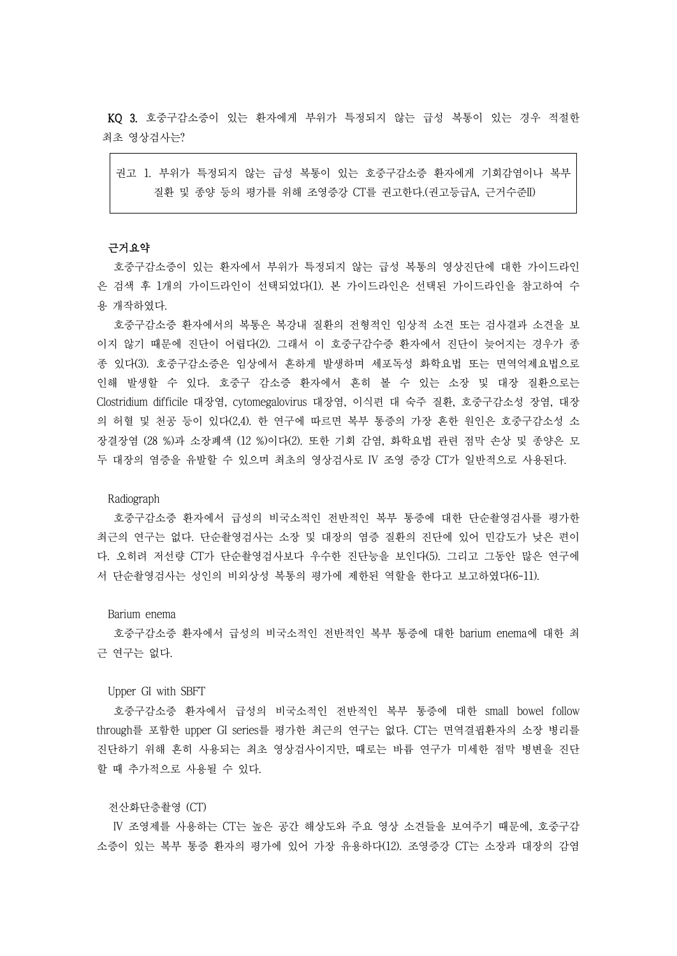KQ 3. 호중구감소증이 있는 환자에게 부위가 특정되지 않는 급성 복통이 있는 경우 적절한 최초 영상검사는?

권고 1. 부위가 특정되지 않는 급성 복통이 있는 호중구감소증 환자에게 기회감염이나 복부 질환 및 종양 등의 평가를 위해 조영증강 CT를 권고한다.(권고등급A, 근거수준II)

## 근거요약

호중구감소증이 있는 환자에서 부위가 특정되지 않는 급성 복통의 영상진단에 대한 가이드라인 은 검색 후 1개의 가이드라인이 선택되었다(1). 본 가이드라인은 선택된 가이드라인을 참고하여 수 용 개작하였다.

호중구감소증 환자에서의 복통은 복강내 질환의 전형적인 임상적 소견 또는 검사결과 소견을 보 이지 않기 때문에 진단이 어렵다(2). 그래서 이 호중구감수증 환자에서 진단이 늦어지는 경우가 종 종 있다(3). 호중구감소증은 임상에서 흔하게 발생하며 세포독성 화학요법 또는 면역억제요법으로 인해 발생할 수 있다. 호중구 감소증 환자에서 흔히 볼 수 있는 소장 및 대장 질환으로는 Clostridium difficile 대장염, cytomegalovirus 대장염, 이식편 대 숙주 질환, 호중구감소성 장염, 대장 의 허혈 및 천공 등이 있다(2,4). 한 연구에 따르면 복부 통증의 가장 흔한 원인은 호중구감소성 소 장결장염 (28 %)과 소장폐색 (12 %)이다(2). 또한 기회 감염, 화학요법 관련 점막 손상 및 종양은 모 두 대장의 염증을 유발할 수 있으며 최초의 영상검사로 IV 조영 증강 CT가 일반적으로 사용된다.<br>Radiograph

호중구감소증 환자에서 급성의 비국소적인 전반적인 복부 통증에 대한 단순촬영검사를 평가한 최근의 연구는 없다. 단순촬영검사는 소장 및 대장의 염증 질환의 진단에 있어 민감도가 낮은 편이 다. 오히려 저선량 CT가 단순촬영검사보다 우수한 진단능을 보인다(5). 그리고 그동안 많은 연구에 서 단순촬영검사는 성인의 비외상성 복통의 평가에 제한된 역할을 한다고 보고하였다(6-11).

### Barium enema

호중구감소증 환자에서 급성의 비국소적인 전반적인 복부 통증에 대한 barium enema에 대한 최 근 연구는 없다. Upper GI with SBFT

호중구감소증 환자에서 급성의 비국소적인 전반적인 복부 통증에 대한 small bowel follow through를 포함한 upper GI series를 평가한 최근의 연구는 없다. CT는 면역결핍환자의 소장 병리를 진단하기 위해 흔히 사용되는 최초 영상검사이지만, 때로는 바륨 연구가 미세한 점막 병변을 진단 할 때 추가적으로 사용될 수 있다.<br><br>전산화단층촬영 (CT)

IV 조영제를 사용하는 CT는 높은 공간 해상도와 주요 영상 소견들을 보여주기 때문에, 호중구감 소증이 있는 복부 통증 환자의 평가에 있어 가장 유용하다(12). 조영증강 CT는 소장과 대장의 감염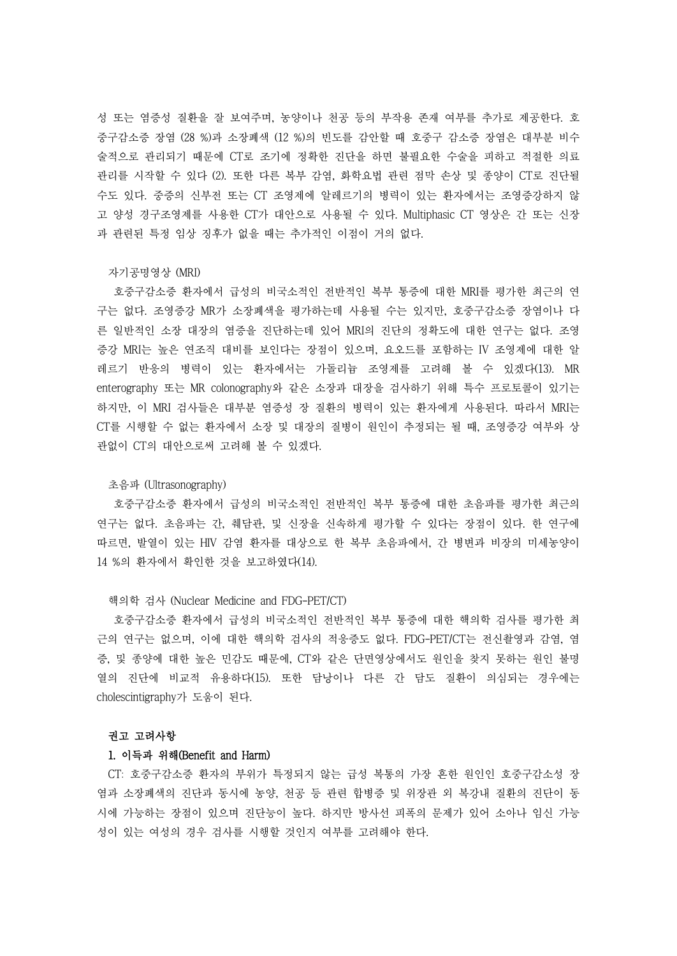성 또는 염증성 질환을 잘 보여주며, 농양이나 천공 등의 부작용 존재 여부를 추가로 제공한다. 호 중구감소증 장염 (28 %)과 소장폐색 (12 %)의 빈도를 감안할 때 호중구 감소증 장염은 대부분 비수 술적으로 관리되기 때문에 CT로 조기에 정확한 진단을 하면 불필요한 수술을 피하고 적절한 의료 관리를 시작할 수 있다 (2). 또한 다른 복부 감염, 화학요법 관련 점막 손상 및 종양이 CT로 진단될 수도 있다. 중증의 신부전 또는 CT 조영제에 알레르기의 병력이 있는 환자에서는 조영증강하지 않 고 양성 경구조영제를 사용한 CT가 대안으로 사용될 수 있다. Multiphasic CT 영상은 간 또는 신장 과 관련된 특정 임상 징후가 없을 때는 추가적인 이점이 거의 없다.<br><br>자기공명영상 (MRI)

호중구감소증 환자에서 급성의 비국소적인 전반적인 복부 통증에 대한 MRI를 평가한 최근의 연 구는 없다. 조영증강 MR가 소장폐색을 평가하는데 사용될 수는 있지만, 호중구감소증 장염이나 다 른 일반적인 소장 대장의 염증을 진단하는데 있어 MRI의 진단의 정확도에 대한 연구는 없다. 조영 증강 MRI는 높은 연조직 대비를 보인다는 장점이 있으며, 요오드를 포함하는 IV 조영제에 대한 알 레르기 반응의 병력이 있는 환자에서는 가돌리늄 조영제를 고려해 볼 수 있겠다(13). MR enterography 또는 MR colonography와 같은 소장과 대장을 검사하기 위해 특수 프로토콜이 있기는 하지만, 이 MRI 검사들은 대부분 염증성 장 질환의 병력이 있는 환자에게 사용된다. 따라서 MRI는 CT를 시행할 수 없는 환자에서 소장 및 대장의 질병이 원인이 추정되는 될 때, 조영증강 여부와 상 관없이 CT의 대안으로써 고려해 볼 수 있겠다.<br><br>초음파 (Ultrasonography)

호중구감소증 환자에서 급성의 비국소적인 전반적인 복부 통증에 대한 초음파를 평가한 최근의 연구는 없다. 초음파는 간, 췌담관, 및 신장을 신속하게 평가할 수 있다는 장점이 있다. 한 연구에 따르면, 발열이 있는 HIV 감염 환자를 대상으로 한 복부 초음파에서, 간 병변과 비장의 미세농양이 14 %의 환자에서 확인한 것을 보고하였다(14).

### 핵의학 검사 (Nuclear Medicine and FDG-PET/CT)

호중구감소증 환자에서 급성의 비국소적인 전반적인 복부 통증에 대한 핵의학 검사를 평가한 최 근의 연구는 없으며, 이에 대한 핵의학 검사의 적응증도 없다. FDG-PET/CT는 전신촬영과 감염, 염 증, 및 종양에 대한 높은 민감도 때문에, CT와 같은 단면영상에서도 원인을 찾지 못하는 원인 불명 열의 진단에 비교적 유용하다(15). 또한 담낭이나 다른 간 담도 질환이 의심되는 경우에는 cholescintigraphy가 도움이 된다.<br>**권고 고려사항** 

## 1. 이득과 위해(Benefit and Harm)

CT: 호중구감소증 환자의 부위가 특정되지 않는 급성 복통의 가장 흔한 원인인 호중구감소성 장 염과 소장폐색의 진단과 동시에 농양, 천공 등 관련 합병증 및 위장관 외 복강내 질환의 진단이 동 시에 가능하는 장점이 있으며 진단능이 높다. 하지만 방사선 피폭의 문제가 있어 소아나 임신 가능 성이 있는 여성의 경우 검사를 시행할 것인지 여부를 고려해야 한다.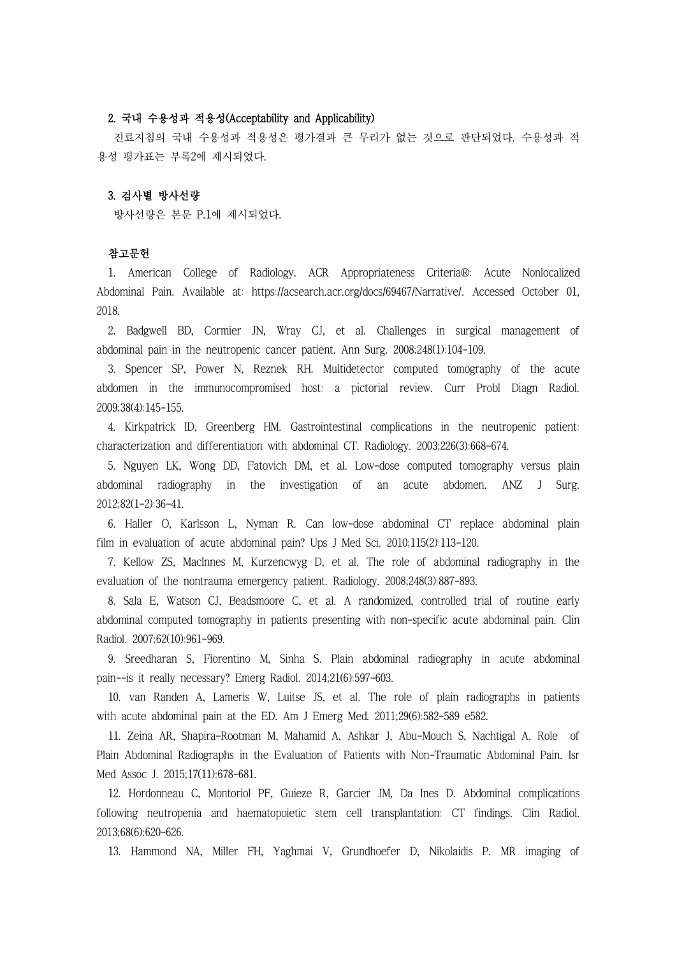# 2. 국내 수용성과 적용성(Acceptability and Applicability)

진료지침의 국내 수용성과 적용성은 평가결과 큰 무리가 없는 것으로 판단되었다. 수용성과 적 용성 평가표는 부록2에 제시되었다.

# 3. 검사별 방사선량

방사선량은 본문 P.1에 제시되었다.

## 참고문헌

1. American College of Radiology. ACR Appropriateness Criteria®: Acute Nonlocalized Abdominal Pain. Available at: https://acsearch.acr.org/docs/69467/Narrative/. Accessed October 01, 2018.

2. Badgwell BD, Cormier JN, Wray CJ, et al. Challenges in surgical management of abdominal pain in the neutropenic cancer patient. Ann Surg. 2008;248(1):104-109.

3. Spencer SP, Power N, Reznek RH. Multidetector computed tomography of the acute abdomen in the immunocompromised host: a pictorial review. Curr Probl Diagn Radiol. 2009;38(4):145-155.

4. Kirkpatrick ID, Greenberg HM. Gastrointestinal complications in the neutropenic patient: characterization and differentiation with abdominal CT. Radiology. 2003;226(3):668-674.

5. Nguyen LK, Wong DD, Fatovich DM, et al. Low-dose computed tomography versus plain abdominal radiography in the investigation of an acute abdomen. ANZ J Surg. 2012;82(1-2):36-41.

6. Haller O, Karlsson L, Nyman R. Can low-dose abdominal CT replace abdominal plain film in evaluation of acute abdominal pain? Ups J Med Sci. 2010;115(2):113-120.

7. Kellow ZS, MacInnes M, Kurzencwyg D, et al. The role of abdominal radiography in the evaluation of the nontrauma emergency patient. Radiology. 2008;248(3):887-893.

8. Sala E, Watson CJ, Beadsmoore C, et al. A randomized, controlled trial of routine early abdominal computed tomography in patients presenting with non-specific acute abdominal pain. Clin Radiol. 2007;62(10):961-969.

9. Sreedharan S, Fiorentino M, Sinha S. Plain abdominal radiography in acute abdominal pain--is it really necessary? Emerg Radiol. 2014;21(6):597-603.

10. van Randen A, Lameris W, Luitse JS, et al. The role of plain radiographs in patients with acute abdominal pain at the ED. Am J Emerg Med. 2011;29(6):582-589 e582.

11. Zeina AR, Shapira-Rootman M, Mahamid A, Ashkar J, Abu-Mouch S, Nachtigal A. Role of Plain Abdominal Radiographs in the Evaluation of Patients with Non-Traumatic Abdominal Pain. Isr Med Assoc J. 2015;17(11):678-681.

12. Hordonneau C, Montoriol PF, Guieze R, Garcier JM, Da Ines D. Abdominal complications following neutropenia and haematopoietic stem cell transplantation: CT findings. Clin Radiol. 2013;68(6):620-626.

13. Hammond NA, Miller FH, Yaghmai V, Grundhoefer D, Nikolaidis P. MR imaging of